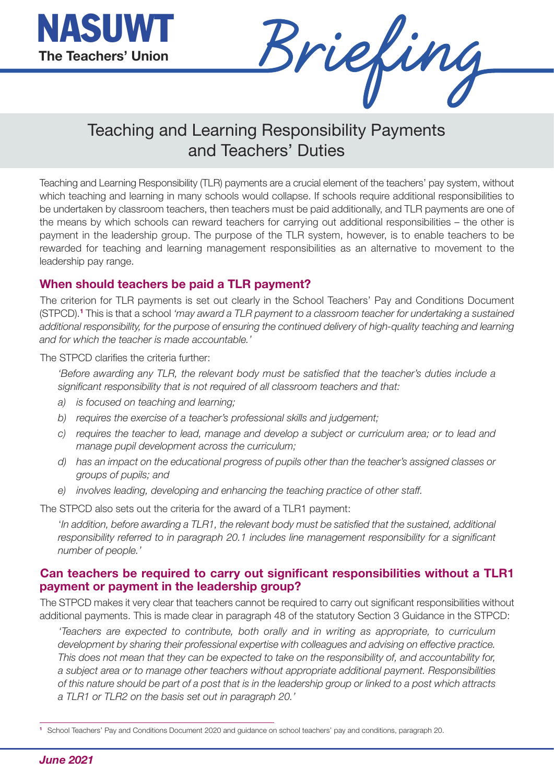

Briefing

## Teaching and Learning Responsibility Payments and Teachers' Duties

Teaching and Learning Responsibility (TLR) payments are a crucial element of the teachers' pay system, without which teaching and learning in many schools would collapse. If schools require additional responsibilities to be undertaken by classroom teachers, then teachers must be paid additionally, and TLR payments are one of the means by which schools can reward teachers for carrying out additional responsibilities – the other is payment in the leadership group. The purpose of the TLR system, however, is to enable teachers to be rewarded for teaching and learning management responsibilities as an alternative to movement to the leadership pay range.

## **When should teachers be paid a TLR payment?**

The criterion for TLR payments is set out clearly in the School Teachers' Pay and Conditions Document (STPCD).**<sup>1</sup>** This is that a school *'may award a TLR payment to a classroom teacher for undertaking a sustained additional responsibility, for the purpose of ensuring the continued delivery of high-quality teaching and learning and for which the teacher is made accountable.'* 

The STPCD clarifies the criteria further:

*'Before awarding any TLR, the relevant body must be satisfied that the teacher's duties include a significant responsibility that is not required of all classroom teachers and that:* 

- *a) is focused on teaching and learning;*
- *b) requires the exercise of a teacher's professional skills and judgement;*
- *c) requires the teacher to lead, manage and develop a subject or curriculum area; or to lead and manage pupil development across the curriculum;*
- *d) has an impact on the educational progress of pupils other than the teacher's assigned classes or groups of pupils; and*
- *e) involves leading, developing and enhancing the teaching practice of other staff.*

The STPCD also sets out the criteria for the award of a TLR1 payment:

'*In addition, before awarding a TLR1, the relevant body must be satisfied that the sustained, additional responsibility referred to in paragraph 20.1 includes line management responsibility for a significant number of people.'*

## **Can teachers be required to carry out significant responsibilities without a TLR1 payment or payment in the leadership group?**

The STPCD makes it very clear that teachers cannot be required to carry out significant responsibilities without additional payments. This is made clear in paragraph 48 of the statutory Section 3 Guidance in the STPCD:

*'Teachers are expected to contribute, both orally and in writing as appropriate, to curriculum development by sharing their professional expertise with colleagues and advising on effective practice. This does not mean that they can be expected to take on the responsibility of, and accountability for, a subject area or to manage other teachers without appropriate additional payment. Responsibilities of this nature should be part of a post that is in the leadership group or linked to a post which attracts a TLR1 or TLR2 on the basis set out in paragraph 20.'*

**<sup>1</sup>** School Teachers' Pay and Conditions Document 2020 and guidance on school teachers' pay and conditions, paragraph 20.